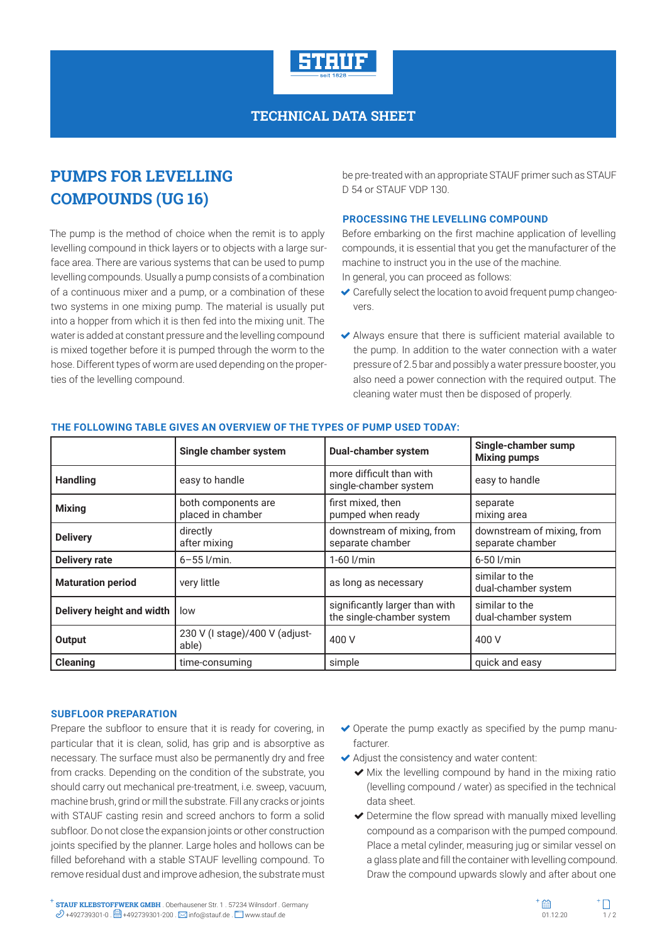

## **TECHNICAL DATA SHEET**

# **PUMPS FOR LEVELLING COMPOUNDS (UG 16)**

The pump is the method of choice when the remit is to apply levelling compound in thick layers or to objects with a large surface area. There are various systems that can be used to pump levelling compounds. Usually a pump consists of a combination of a continuous mixer and a pump, or a combination of these two systems in one mixing pump. The material is usually put into a hopper from which it is then fed into the mixing unit. The water is added at constant pressure and the levelling compound is mixed together before it is pumped through the worm to the hose. Different types of worm are used depending on the properties of the levelling compound.

be pre-treated with an appropriate STAUF primer such as STAUF D 54 or STAUF VDP 130.

### **PROCESSING THE LEVELLING COMPOUND**

Before embarking on the first machine application of levelling compounds, it is essential that you get the manufacturer of the machine to instruct you in the use of the machine.

In general, you can proceed as follows:

- $\triangleleft$  Carefully select the location to avoid frequent pump changeovers.
- Always ensure that there is sufficient material available to the pump. In addition to the water connection with a water pressure of 2.5 bar and possibly a water pressure booster, you also need a power connection with the required output. The cleaning water must then be disposed of properly.

|                           | Single chamber system                    | <b>Dual-chamber system</b>                                  | Single-chamber sump<br><b>Mixing pumps</b>     |
|---------------------------|------------------------------------------|-------------------------------------------------------------|------------------------------------------------|
| <b>Handling</b>           | easy to handle                           | more difficult than with<br>single-chamber system           | easy to handle                                 |
| <b>Mixing</b>             | both components are<br>placed in chamber | first mixed, then<br>pumped when ready                      | separate<br>mixing area                        |
| <b>Delivery</b>           | directly<br>after mixing                 | downstream of mixing, from<br>separate chamber              | downstream of mixing, from<br>separate chamber |
| <b>Delivery rate</b>      | $6 - 55$ $I/min$ .                       | $1-60$ $I/min$                                              | 6-50 l/min                                     |
| <b>Maturation period</b>  | very little                              | as long as necessary                                        | similar to the<br>dual-chamber system          |
| Delivery height and width | low                                      | significantly larger than with<br>the single-chamber system | similar to the<br>dual-chamber system          |
| Output                    | 230 V (I stage)/400 V (adjust-<br>able)  | 400 V                                                       | 400 V                                          |
| <b>Cleaning</b>           | time-consuming                           | simple                                                      | quick and easy                                 |

### **THE FOLLOWING TABLE GIVES AN OVERVIEW OF THE TYPES OF PUMP USED TODAY:**

#### **SUBFLOOR PREPARATION**

Prepare the subfloor to ensure that it is ready for covering, in particular that it is clean, solid, has grip and is absorptive as necessary. The surface must also be permanently dry and free from cracks. Depending on the condition of the substrate, you should carry out mechanical pre-treatment, i.e. sweep, vacuum, machine brush, grind or mill the substrate. Fill any cracks or joints with STAUF casting resin and screed anchors to form a solid subfloor. Do not close the expansion joints or other construction joints specified by the planner. Large holes and hollows can be filled beforehand with a stable STAUF levelling compound. To remove residual dust and improve adhesion, the substrate must

- $\triangleright$  Operate the pump exactly as specified by the pump manufacturer.
- Adjust the consistency and water content:
	- $\blacktriangleright$  Mix the levelling compound by hand in the mixing ratio (levelling compound / water) as specified in the technical data sheet.
	- Determine the flow spread with manually mixed levelling compound as a comparison with the pumped compound. Place a metal cylinder, measuring jug or similar vessel on a glass plate and fill the container with levelling compound. Draw the compound upwards slowly and after about one